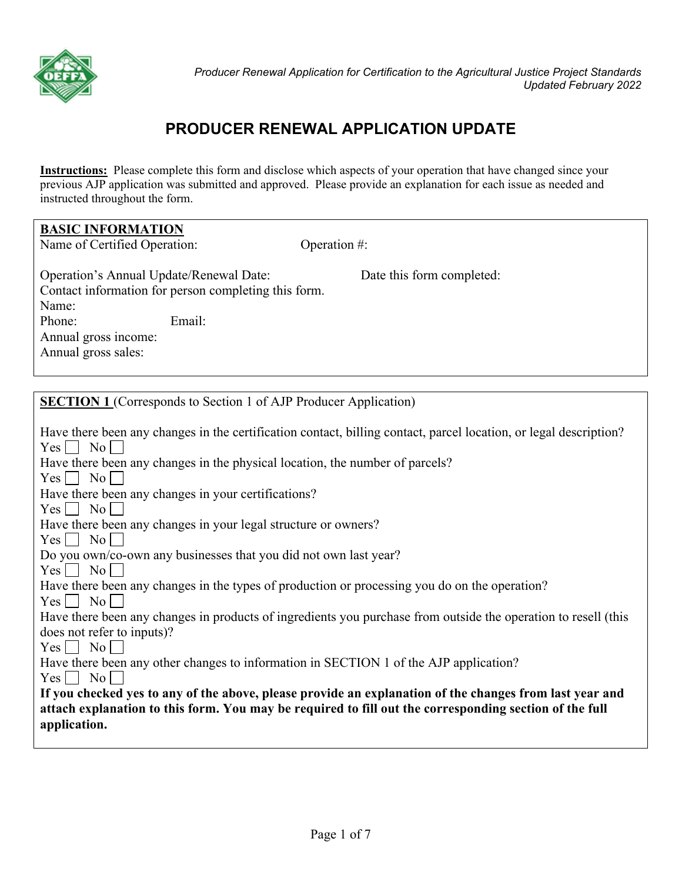

# **PRODUCER RENEWAL APPLICATION UPDATE**

**Instructions:** Please complete this form and disclose which aspects of your operation that have changed since your previous AJP application was submitted and approved. Please provide an explanation for each issue as needed and instructed throughout the form.

| <b>BASIC INFORMATION</b>                                                                                                                                                                                                                                                                                                                                                                                                                                                                                                                                                                                                                                                                                                 |                                                                                                                                                                                                                                                                                                                                                                                                                                                          |
|--------------------------------------------------------------------------------------------------------------------------------------------------------------------------------------------------------------------------------------------------------------------------------------------------------------------------------------------------------------------------------------------------------------------------------------------------------------------------------------------------------------------------------------------------------------------------------------------------------------------------------------------------------------------------------------------------------------------------|----------------------------------------------------------------------------------------------------------------------------------------------------------------------------------------------------------------------------------------------------------------------------------------------------------------------------------------------------------------------------------------------------------------------------------------------------------|
| Name of Certified Operation:                                                                                                                                                                                                                                                                                                                                                                                                                                                                                                                                                                                                                                                                                             | Operation #:                                                                                                                                                                                                                                                                                                                                                                                                                                             |
| Operation's Annual Update/Renewal Date:<br>Contact information for person completing this form.<br>Name:<br>Email:<br>Phone:<br>Annual gross income:<br>Annual gross sales:                                                                                                                                                                                                                                                                                                                                                                                                                                                                                                                                              | Date this form completed:                                                                                                                                                                                                                                                                                                                                                                                                                                |
| <b>SECTION 1</b> (Corresponds to Section 1 of AJP Producer Application)                                                                                                                                                                                                                                                                                                                                                                                                                                                                                                                                                                                                                                                  |                                                                                                                                                                                                                                                                                                                                                                                                                                                          |
| $Yes \Box No \Box$<br>Have there been any changes in the physical location, the number of parcels?<br>$Yes \Box No \Box$<br>Have there been any changes in your certifications?<br>$Yes \nightharpoonup No$<br>Have there been any changes in your legal structure or owners?<br>$Yes \nightharpoonup No$<br>Do you own/co-own any businesses that you did not own last year?<br>$Yes \mid \mid$<br>$\rm{No}$<br>Have there been any changes in the types of production or processing you do on the operation?<br>$Yes \Box No$<br>does not refer to inputs)?<br>$Yes \nightharpoonup No$<br>Have there been any other changes to information in SECTION 1 of the AJP application?<br>$Yes \Box No \Box$<br>application. | Have there been any changes in the certification contact, billing contact, parcel location, or legal description?<br>Have there been any changes in products of ingredients you purchase from outside the operation to resell (this<br>If you checked yes to any of the above, please provide an explanation of the changes from last year and<br>attach explanation to this form. You may be required to fill out the corresponding section of the full |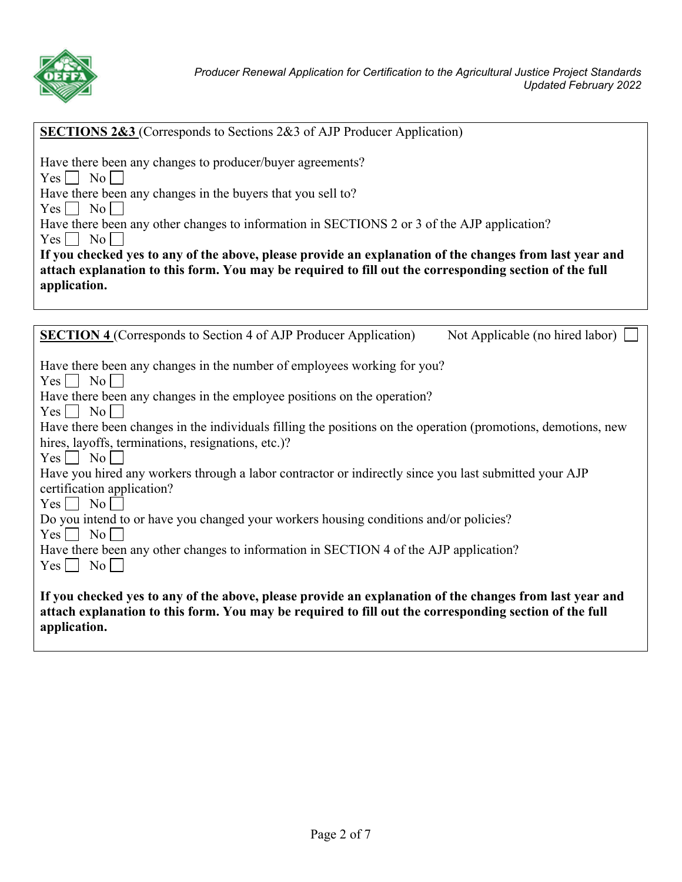

| <b>SECTIONS 2&amp;3</b> (Corresponds to Sections 2&3 of AJP Producer Application) |
|-----------------------------------------------------------------------------------|
|-----------------------------------------------------------------------------------|

| Have there been any changes to producer/buyer agreements?                                   |
|---------------------------------------------------------------------------------------------|
| $Yes$   No                                                                                  |
| Have there been any changes in the buyers that you sell to?                                 |
| $Yes \Box No \Box$                                                                          |
| Have there been any other changes to information in SECTIONS 2 or 3 of the AJP application? |
| $\overline{N_{0}}$<br>Yes                                                                   |

| If you checked yes to any of the above, please provide an explanation of the changes from last year and |
|---------------------------------------------------------------------------------------------------------|
| attach explanation to this form. You may be required to fill out the corresponding section of the full  |
| application.                                                                                            |

| <b>SECTION 4</b> (Corresponds to Section 4 of AJP Producer Application)                                       | Not Applicable (no hired labor) $\vert \ \vert$ |
|---------------------------------------------------------------------------------------------------------------|-------------------------------------------------|
|                                                                                                               |                                                 |
| Have there been any changes in the number of employees working for you?                                       |                                                 |
| $Yes \mid \mid No \mid \mid$                                                                                  |                                                 |
| Have there been any changes in the employee positions on the operation?                                       |                                                 |
| $Yes \mid \mid No \mid \mid$                                                                                  |                                                 |
| Have there been changes in the individuals filling the positions on the operation (promotions, demotions, new |                                                 |
| hires, layoffs, terminations, resignations, etc.)?                                                            |                                                 |
| $Yes \mid \mid No \mid \mid$                                                                                  |                                                 |
| Have you hired any workers through a labor contractor or indirectly since you last submitted your AJP         |                                                 |
| certification application?                                                                                    |                                                 |
| $Yes \Box No \Box$                                                                                            |                                                 |
| Do you intend to or have you changed your workers housing conditions and/or policies?                         |                                                 |
| $Yes \mid \mid No \mid \mid$                                                                                  |                                                 |
| Have there been any other changes to information in SECTION 4 of the AJP application?                         |                                                 |
| $Yes \mid \mid No \mid \mid$                                                                                  |                                                 |
|                                                                                                               |                                                 |
| If you checked yes to any of the above, please provide an explanation of the changes from last year and       |                                                 |
| attach explanation to this form. You may be required to fill out the corresponding section of the full        |                                                 |
| application.                                                                                                  |                                                 |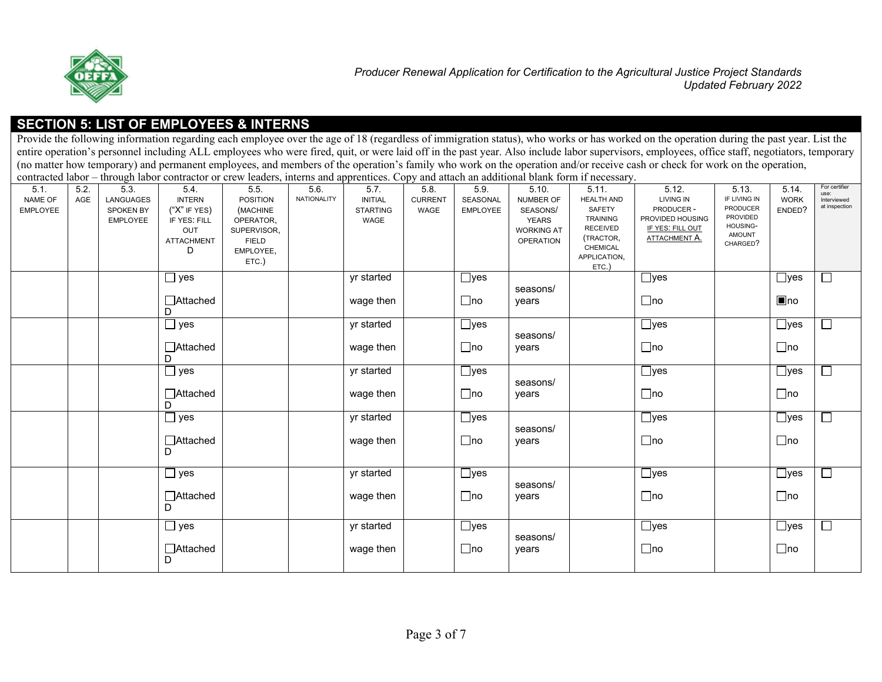

#### **SECTION 5: LIST OF EMPLOYEES & INTERNS**

Provide the following information regarding each employee over the age of 18 (regardless of immigration status), who works or has worked on the operation during the past year. List the entire operation's personnel including ALL employees who were fired, quit, or were laid off in the past year. Also include labor supervisors, employees, office staff, negotiators, temporary (no matter how temporary) and permanent employees, and members of the operation's family who work on the operation and/or receive cash or check for work on the operation, contracted labor, through labor contractor or corre contracted labor contractor or crew leaders, international blank forms if  $\epsilon$ 

|                                    |             |                                                          | contracted labor – through labor contractor or crew leaders, interns and apprentices. Copy and attach an additional blank form if necessary. |                                                                                                       |                     |                                                   |                                |                                     |                                                                                  |                                                                                                                              |                                                                                          |                                                                                               |                                 |                                                       |
|------------------------------------|-------------|----------------------------------------------------------|----------------------------------------------------------------------------------------------------------------------------------------------|-------------------------------------------------------------------------------------------------------|---------------------|---------------------------------------------------|--------------------------------|-------------------------------------|----------------------------------------------------------------------------------|------------------------------------------------------------------------------------------------------------------------------|------------------------------------------------------------------------------------------|-----------------------------------------------------------------------------------------------|---------------------------------|-------------------------------------------------------|
| 5.1.<br>NAME OF<br><b>EMPLOYEE</b> | 5.2.<br>AGE | 5.3.<br>LANGUAGES<br><b>SPOKEN BY</b><br><b>EMPLOYEE</b> | 5.4<br><b>INTERN</b><br>$($ "X" IF YES)<br>IF YES: FILL<br>OUT<br><b>ATTACHMENT</b><br>D                                                     | 5.5.<br><b>POSITION</b><br>(MACHINE<br>OPERATOR,<br>SUPERVISOR,<br><b>FIELD</b><br>EMPLOYEE,<br>ETC.) | 5.6.<br>NATIONALITY | 5.7.<br><b>INITIAL</b><br><b>STARTING</b><br>WAGE | 5.8.<br><b>CURRENT</b><br>WAGE | 5.9.<br>SEASONAL<br><b>EMPLOYEE</b> | 5.10.<br>NUMBER OF<br>SEASONS/<br>YEARS<br><b>WORKING AT</b><br><b>OPERATION</b> | 5.11.<br><b>HEALTH AND</b><br>SAFETY<br>TRAINING<br><b>RECEIVED</b><br>(TRACTOR,<br><b>CHEMICAL</b><br>APPLICATION,<br>ETC.) | 5.12.<br>LIVING IN<br>PRODUCER-<br>PROVIDED HOUSING<br>IF YES: FILL OUT<br>ATTACHMENT A. | 5.13.<br>IF LIVING IN<br><b>PRODUCER</b><br>PROVIDED<br>HOUSING-<br><b>AMOUNT</b><br>CHARGED? | 5.14<br><b>WORK</b><br>ENDED?   | For certifier<br>use:<br>Interviewed<br>at inspection |
|                                    |             |                                                          | $\square$ yes<br>□Attached<br>D                                                                                                              |                                                                                                       |                     | yr started<br>wage then                           |                                | $\Box$ yes<br>$\Box$ no             | seasons/<br>years                                                                |                                                                                                                              | $\Box$ yes<br>$\Box$ no                                                                  |                                                                                               | $\Box$ yes<br>$\blacksquare$ no | Г                                                     |
|                                    |             |                                                          | $\Box$ yes<br>□Attached<br>D                                                                                                                 |                                                                                                       |                     | yr started<br>wage then                           |                                | $\Box$ yes<br>$\Box$ no             | seasons/<br>years                                                                |                                                                                                                              | $\Box$ yes<br>$\Box$ no                                                                  |                                                                                               | $\Box$ yes<br>$\Box$ no         | $\Box$                                                |
|                                    |             |                                                          | $\Box$ yes<br>□ Attached<br>D                                                                                                                |                                                                                                       |                     | yr started<br>wage then                           |                                | $\Box$ yes<br>$\Box$ no             | seasons/<br>years                                                                |                                                                                                                              | $\Box$ yes<br>$\Box$ no                                                                  |                                                                                               | $\Box$ yes<br>$\Box$ no         | $\Box$                                                |
|                                    |             |                                                          | $\Box$ yes<br>□Attached<br>D                                                                                                                 |                                                                                                       |                     | yr started<br>wage then                           |                                | $\Box$ yes<br>$\Box$ no             | seasons/<br>years                                                                |                                                                                                                              | $\Box$ yes<br>$\Box$ no                                                                  |                                                                                               | $\Box$ yes<br>$\Box$ no         | $\Box$                                                |
|                                    |             |                                                          | $\Box$ yes<br>□Attached<br>D                                                                                                                 |                                                                                                       |                     | yr started<br>wage then                           |                                | $\Box$ yes<br>$\Box$ no             | seasons/<br>years                                                                |                                                                                                                              | $\Box$ yes<br>$\Box$ no                                                                  |                                                                                               | $\Box$ yes<br>$\Box$ no         | $\Box$                                                |
|                                    |             |                                                          | $\Box$ yes<br>□Attached<br>D                                                                                                                 |                                                                                                       |                     | yr started<br>wage then                           |                                | $\Box$ yes<br>$\Box$ no             | seasons/<br>years                                                                |                                                                                                                              | $\Box$ yes<br>$\Box$ no                                                                  |                                                                                               | $\Box$ yes<br>$\Box$ no         | $\Box$                                                |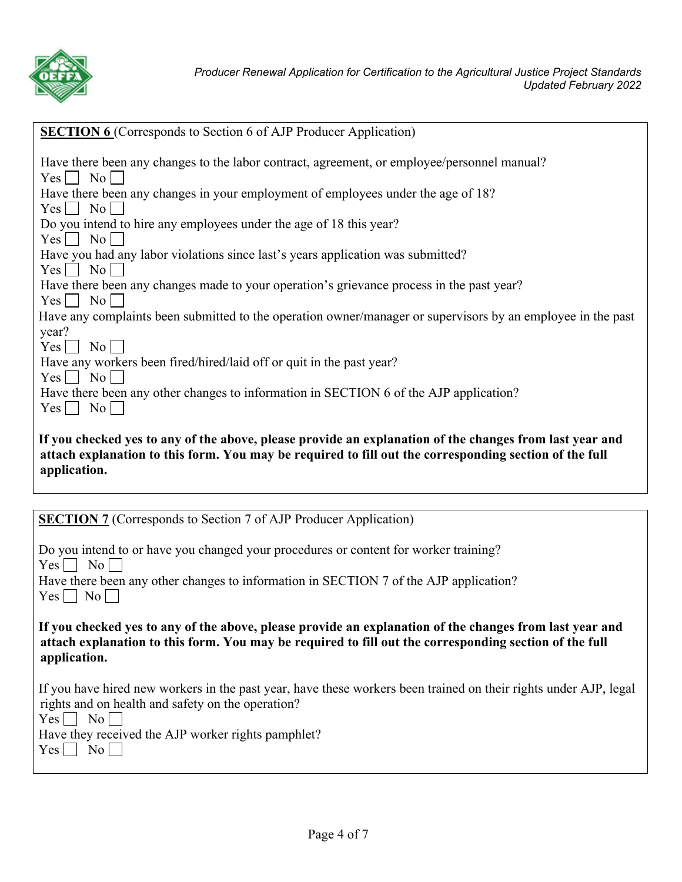

| <b>SECTION 6</b> (Corresponds to Section 6 of AJP Producer Application)                                     |
|-------------------------------------------------------------------------------------------------------------|
| Have there been any changes to the labor contract, agreement, or employee/personnel manual?                 |
| $Yes \Box No \Box$                                                                                          |
| Have there been any changes in your employment of employees under the age of 18?                            |
| $Yes \nightharpoonup No$                                                                                    |
| Do you intend to hire any employees under the age of 18 this year?                                          |
| $Yes \mid No \mid$                                                                                          |
| Have you had any labor violations since last's years application was submitted?                             |
| $Yes \nightharpoonup No$                                                                                    |
| Have there been any changes made to your operation's grievance process in the past year?                    |
| $Yes \nightharpoonup No$                                                                                    |
| Have any complaints been submitted to the operation owner/manager or supervisors by an employee in the past |
| year?                                                                                                       |
| $Yes \mid \text{No} \mid$                                                                                   |
| Have any workers been fired/hired/laid off or quit in the past year?                                        |
| $Yes \nightharpoonup No \nightharpoonup$                                                                    |
| Have there been any other changes to information in SECTION 6 of the AJP application?                       |
| $Yes \bigsqcup No \bigsqcup$                                                                                |
|                                                                                                             |
| If you checked yes to any of the above, please provide an explanation of the changes from last year and     |
| attach explanation to this form. You may be required to fill out the corresponding section of the full      |
| application.                                                                                                |
|                                                                                                             |
|                                                                                                             |
| <b>SECTION 7</b> (Corresponds to Section 7 of AJP Producer Application)                                     |
| Do you intend to or have you changed your procedures or content for worker training?                        |
|                                                                                                             |

 $Yes \nightharpoonup No \nightharpoonup$ 

|                                          | Have there been any other changes to information in SECTION 7 of the AJP application? |  |  |
|------------------------------------------|---------------------------------------------------------------------------------------|--|--|
| $Yes \nightharpoonup No \nightharpoonup$ |                                                                                       |  |  |

 **If you checked yes to any of the above, please provide an explanation of the changes from last year and attach explanation to this form. You may be required to fill out the corresponding section of the full application.** 

| If you have hired new workers in the past year, have these workers been trained on their rights under AJP, legal |  |
|------------------------------------------------------------------------------------------------------------------|--|
| rights and on health and safety on the operation?                                                                |  |

 $Yes \Box No \Box$ 

Have they received the AJP worker rights pamphlet?

 $Yes \Box No \Box$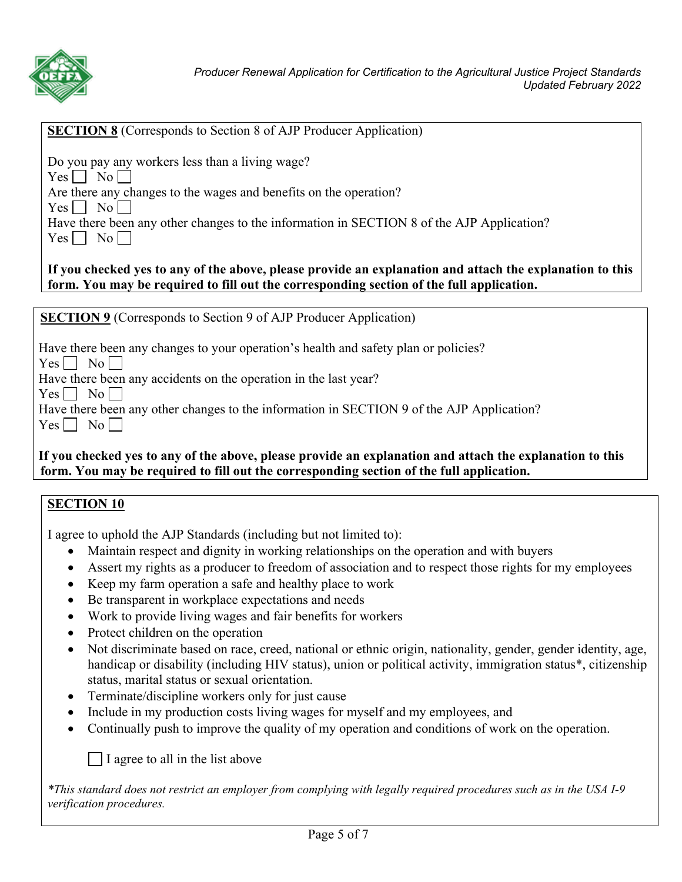

#### **SECTION 8** (Corresponds to Section 8 of AJP Producer Application)

Do you pay any workers less than a living wage?

 $Yes \nightharpoonup No \nightharpoonup$ 

Are there any changes to the wages and benefits on the operation?

 $Yes \mid \mid No \mid \mid$ 

|                                                                                                                                                                                                                                                                                                                                                                                                                                                                                 |  |  |  |  |  |  | Have there been any other changes to the information in SECTION 8 of the AJP Application? |  |
|---------------------------------------------------------------------------------------------------------------------------------------------------------------------------------------------------------------------------------------------------------------------------------------------------------------------------------------------------------------------------------------------------------------------------------------------------------------------------------|--|--|--|--|--|--|-------------------------------------------------------------------------------------------|--|
| $\overline{\phantom{a}}$ $\overline{\phantom{a}}$ $\overline{\phantom{a}}$ $\overline{\phantom{a}}$ $\overline{\phantom{a}}$ $\overline{\phantom{a}}$ $\overline{\phantom{a}}$ $\overline{\phantom{a}}$ $\overline{\phantom{a}}$ $\overline{\phantom{a}}$ $\overline{\phantom{a}}$ $\overline{\phantom{a}}$ $\overline{\phantom{a}}$ $\overline{\phantom{a}}$ $\overline{\phantom{a}}$ $\overline{\phantom{a}}$ $\overline{\phantom{a}}$ $\overline{\phantom{a}}$ $\overline{\$ |  |  |  |  |  |  |                                                                                           |  |

|--|--|--|

## **If you checked yes to any of the above, please provide an explanation and attach the explanation to this form. You may be required to fill out the corresponding section of the full application.**

**SECTION 9** (Corresponds to Section 9 of AJP Producer Application)

|  |  | Have there been any changes to your operation's health and safety plan or policies? |
|--|--|-------------------------------------------------------------------------------------|
|  |  |                                                                                     |

 $Yes \Box No \Box$ 

Have there been any accidents on the operation in the last year?

 $Yes \Box No \Box$ 

Have there been any other changes to the information in SECTION 9 of the AJP Application?

 $Yes \tNo$ 

## **If you checked yes to any of the above, please provide an explanation and attach the explanation to this form. You may be required to fill out the corresponding section of the full application.**

## **SECTION 10**

I agree to uphold the AJP Standards (including but not limited to):

- Maintain respect and dignity in working relationships on the operation and with buyers
- Assert my rights as a producer to freedom of association and to respect those rights for my employees
- Keep my farm operation a safe and healthy place to work
- Be transparent in workplace expectations and needs
- Work to provide living wages and fair benefits for workers
- Protect children on the operation
- Not discriminate based on race, creed, national or ethnic origin, nationality, gender, gender identity, age, handicap or disability (including HIV status), union or political activity, immigration status\*, citizenship status, marital status or sexual orientation.
- Terminate/discipline workers only for just cause
- Include in my production costs living wages for myself and my employees, and
- Continually push to improve the quality of my operation and conditions of work on the operation.

I agree to all in the list above

*\*This standard does not restrict an employer from complying with legally required procedures such as in the USA I-9 verification procedures.*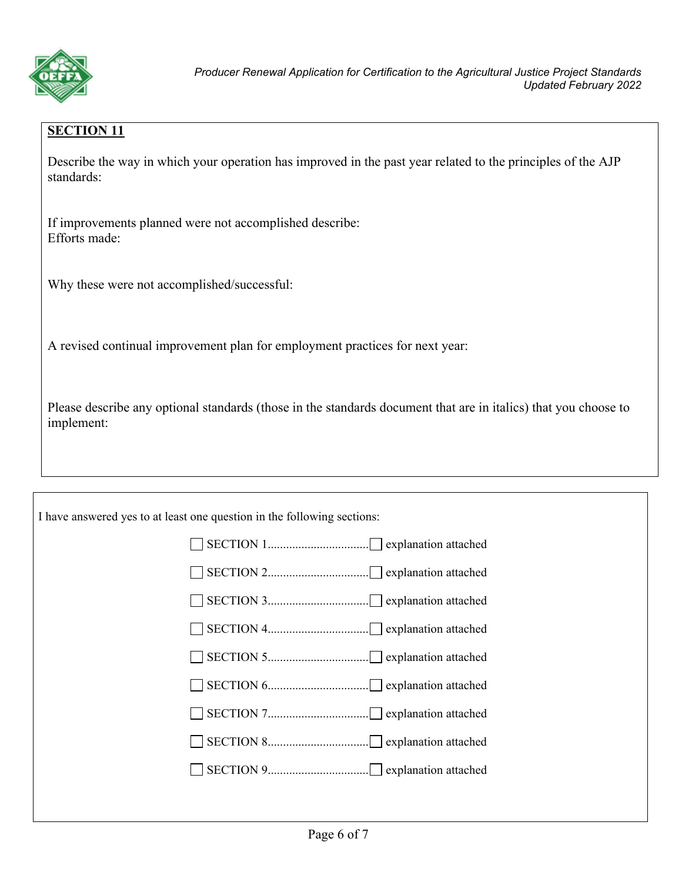

## **SECTION 11**

Describe the way in which your operation has improved in the past year related to the principles of the AJP standards:

If improvements planned were not accomplished describe: Efforts made:

Why these were not accomplished/successful:

A revised continual improvement plan for employment practices for next year:

Please describe any optional standards (those in the standards document that are in italics) that you choose to implement:

| I have answered yes to at least one question in the following sections: |
|-------------------------------------------------------------------------|
|-------------------------------------------------------------------------|